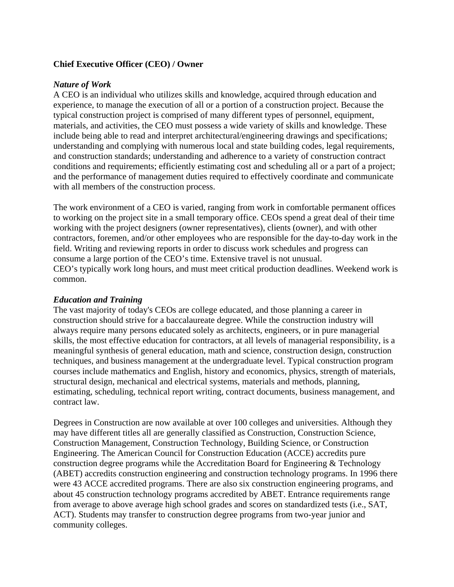## **Chief Executive Officer (CEO) / Owner**

## *Nature of Work*

A CEO is an individual who utilizes skills and knowledge, acquired through education and experience, to manage the execution of all or a portion of a construction project. Because the typical construction project is comprised of many different types of personnel, equipment, materials, and activities, the CEO must possess a wide variety of skills and knowledge. These include being able to read and interpret architectural/engineering drawings and specifications; understanding and complying with numerous local and state building codes, legal requirements, and construction standards; understanding and adherence to a variety of construction contract conditions and requirements; efficiently estimating cost and scheduling all or a part of a project; and the performance of management duties required to effectively coordinate and communicate with all members of the construction process.

The work environment of a CEO is varied, ranging from work in comfortable permanent offices to working on the project site in a small temporary office. CEOs spend a great deal of their time working with the project designers (owner representatives), clients (owner), and with other contractors, foremen, and/or other employees who are responsible for the day-to-day work in the field. Writing and reviewing reports in order to discuss work schedules and progress can consume a large portion of the CEO's time. Extensive travel is not unusual. CEO's typically work long hours, and must meet critical production deadlines. Weekend work is common.

## *Education and Training*

The vast majority of today's CEOs are college educated, and those planning a career in construction should strive for a baccalaureate degree. While the construction industry will always require many persons educated solely as architects, engineers, or in pure managerial skills, the most effective education for contractors, at all levels of managerial responsibility, is a meaningful synthesis of general education, math and science, construction design, construction techniques, and business management at the undergraduate level. Typical construction program courses include mathematics and English, history and economics, physics, strength of materials, structural design, mechanical and electrical systems, materials and methods, planning, estimating, scheduling, technical report writing, contract documents, business management, and contract law.

Degrees in Construction are now available at over 100 colleges and universities. Although they may have different titles all are generally classified as Construction, Construction Science, Construction Management, Construction Technology, Building Science, or Construction Engineering. The American Council for Construction Education (ACCE) accredits pure construction degree programs while the Accreditation Board for Engineering & Technology (ABET) accredits construction engineering and construction technology programs. In 1996 there were 43 ACCE accredited programs. There are also six construction engineering programs, and about 45 construction technology programs accredited by ABET. Entrance requirements range from average to above average high school grades and scores on standardized tests (i.e., SAT, ACT). Students may transfer to construction degree programs from two-year junior and community colleges.